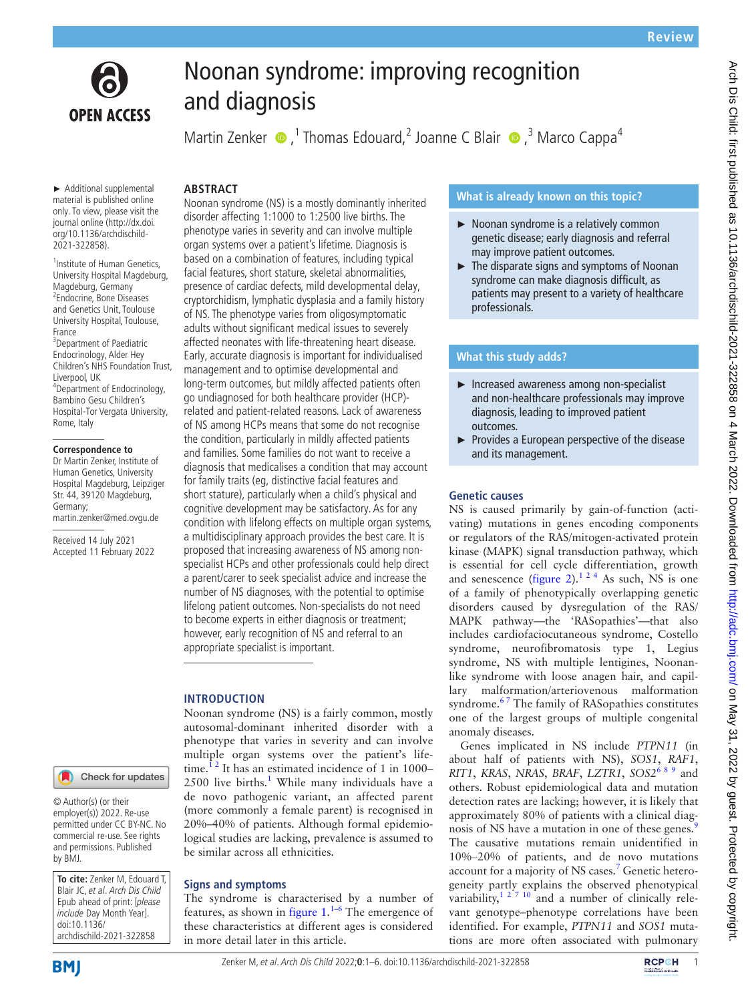

# **OPEN ACCESS**

# Noonan syndrome: improving recognition and diagnosis

Martin Zenker  $\bullet$ , Thomas Edouard, 2 Joanne C Blair  $\bullet$ , 3 Marco Cappa<sup>4</sup>

# **ABSTRACT**

► Additional supplemental material is published online only. To view, please visit the journal online ([http://dx.doi.](http://dx.doi.org/10.1136/archdischild-2021-322858) [org/10.1136/archdischild-](http://dx.doi.org/10.1136/archdischild-2021-322858)[2021-322858\)](http://dx.doi.org/10.1136/archdischild-2021-322858).

1 Institute of Human Genetics, University Hospital Magdeburg, Magdeburg, Germany 2 Endocrine, Bone Diseases and Genetics Unit, Toulouse University Hospital, Toulouse, France <sup>3</sup>Department of Paediatric Endocrinology, Alder Hey Children's NHS Foundation Trust, Liverpool, UK 4 Department of Endocrinology, Bambino Gesu Children's Hospital-Tor Vergata University, Rome, Italy

#### **Correspondence to**

Dr Martin Zenker, Institute of Human Genetics, University Hospital Magdeburg, Leipziger Str. 44, 39120 Magdeburg, Germany; martin.zenker@med.ovgu.de

Received 14 July 2021 Accepted 11 February 2022

# Check for updates

© Author(s) (or their employer(s)) 2022. Re-use permitted under CC BY-NC. No commercial re-use. See rights and permissions. Published by BMJ.

**To cite:** Zenker M, Edouard T, Blair JC, et al. Arch Dis Child Epub ahead of print: [please include Day Month Year]. doi:10.1136/ archdischild-2021-322858

**BMI** 

Noonan syndrome (NS) is a mostly dominantly inherited disorder affecting 1:1000 to 1:2500 live births. The phenotype varies in severity and can involve multiple organ systems over a patient's lifetime. Diagnosis is based on a combination of features, including typical facial features, short stature, skeletal abnormalities, presence of cardiac defects, mild developmental delay, cryptorchidism, lymphatic dysplasia and a family history of NS. The phenotype varies from oligosymptomatic adults without significant medical issues to severely affected neonates with life-threatening heart disease. Early, accurate diagnosis is important for individualised management and to optimise developmental and long-term outcomes, but mildly affected patients often go undiagnosed for both healthcare provider (HCP) related and patient-related reasons. Lack of awareness of NS among HCPs means that some do not recognise the condition, particularly in mildly affected patients and families. Some families do not want to receive a diagnosis that medicalises a condition that may account for family traits (eg, distinctive facial features and short stature), particularly when a child's physical and cognitive development may be satisfactory. As for any condition with lifelong effects on multiple organ systems, a multidisciplinary approach provides the best care. It is proposed that increasing awareness of NS among nonspecialist HCPs and other professionals could help direct a parent/carer to seek specialist advice and increase the number of NS diagnoses, with the potential to optimise lifelong patient outcomes. Non-specialists do not need to become experts in either diagnosis or treatment; however, early recognition of NS and referral to an appropriate specialist is important.

# **INTRODUCTION**

Noonan syndrome (NS) is a fairly common, mostly autosomal-dominant inherited disorder with a phenotype that varies in severity and can involve multiple organ systems over the patient's lifetime.<sup>12</sup> It has an estimated incidence of 1 in 1000–  $2500$  live births.<sup>[1](#page-4-0)</sup> While many individuals have a de novo pathogenic variant, an affected parent (more commonly a female parent) is recognised in 20%–40% of patients. Although formal epidemiological studies are lacking, prevalence is assumed to be similar across all ethnicities.

# **Signs and symptoms**

The syndrome is characterised by a number of features, as shown in [figure](#page-1-0)  $1^{1-6}$  The emergence of these characteristics at different ages is considered in more detail later in this article.

# **What is already known on this topic?**

- ► Noonan syndrome is a relatively common genetic disease; early diagnosis and referral may improve patient outcomes.
- ► The disparate signs and symptoms of Noonan syndrome can make diagnosis difficult, as patients may present to a variety of healthcare professionals.

# **What this study adds?**

- ► Increased awareness among non-specialist and non-healthcare professionals may improve diagnosis, leading to improved patient outcomes.
- ► Provides a European perspective of the disease and its management.

# **Genetic causes**

NS is caused primarily by gain-of-function (activating) mutations in genes encoding components or regulators of the RAS/mitogen-activated protein kinase (MAPK) signal transduction pathway, which is essential for cell cycle differentiation, growth and senescence ([figure](#page-1-1) 2).<sup>1 2 4</sup> As such, NS is one of a family of phenotypically overlapping genetic disorders caused by dysregulation of the RAS/ MAPK pathway—the 'RASopathies'—that also includes cardiofaciocutaneous syndrome, Costello syndrome, neurofibromatosis type 1, Legius syndrome, NS with multiple lentigines, Noonanlike syndrome with loose anagen hair, and capillary malformation/arteriovenous malformation syndrome.<sup>67</sup> The family of RASopathies constitutes one of the largest groups of multiple congenital anomaly diseases.

Genes implicated in NS include *PTPN11* (in about half of patients with NS), *SOS1*, *RAF1*, *RIT1*, *KRAS*, *NRAS*, *BRAF*, *LZTR1*, *SOS2*[6 8 9](#page-4-1) and others. Robust epidemiological data and mutation detection rates are lacking; however, it is likely that approximately 80% of patients with a clinical diag-nosis of NS have a mutation in one of these genes.<sup>[9](#page-4-2)</sup> The causative mutations remain unidentified in 10%‒20% of patients, and de novo mutations account for a majority of NS cases.<sup>7</sup> Genetic heterogeneity partly explains the observed phenotypical variability,<sup>1 27 10</sup> and a number of clinically relevant genotype–phenotype correlations have been identified. For example, *PTPN11* and *SOS1* mutations are more often associated with pulmonary



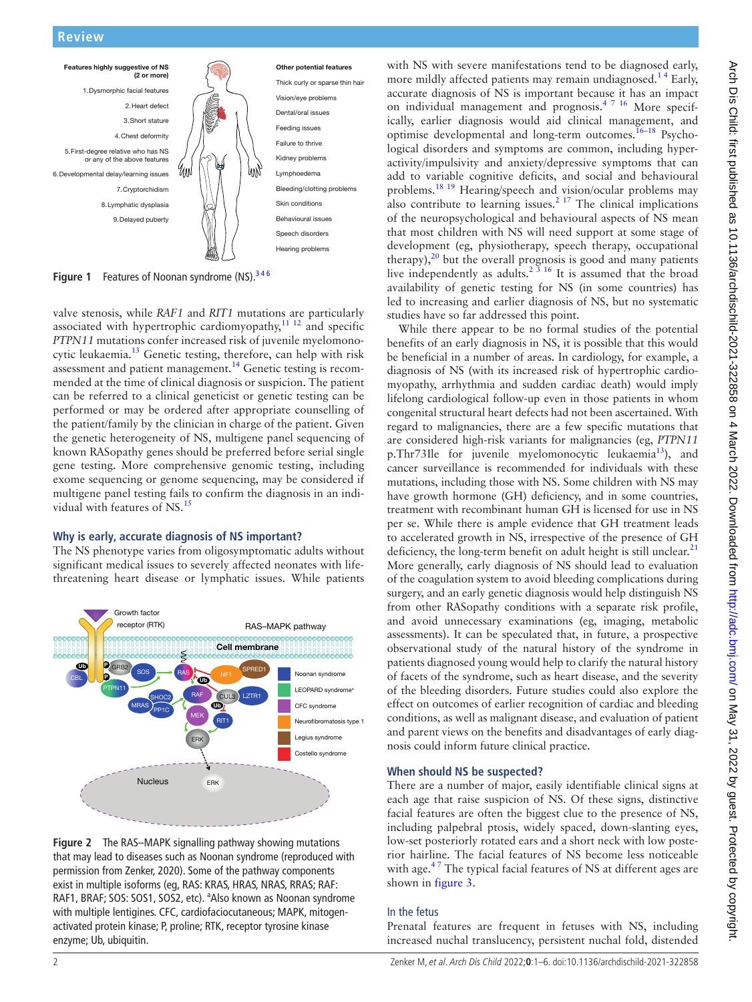

<span id="page-1-0"></span>Figure 1 Features of Noonan syndrome (NS).<sup>346</sup>

valve stenosis, while *RAF1* and *RIT1* mutations are particularly associated with hypertrophic cardiomyopathy, $11 12$  and specific *PTPN11* mutations confer increased risk of juvenile myelomonocytic leukaemia.<sup>13</sup> Genetic testing, therefore, can help with risk assessment and patient management.<sup>[14](#page-4-6)</sup> Genetic testing is recommended at the time of clinical diagnosis or suspicion. The patient can be referred to a clinical geneticist or genetic testing can be performed or may be ordered after appropriate counselling of the patient/family by the clinician in charge of the patient. Given the genetic heterogeneity of NS, multigene panel sequencing of known RASopathy genes should be preferred before serial single gene testing. More comprehensive genomic testing, including exome sequencing or genome sequencing, may be considered if multigene panel testing fails to confirm the diagnosis in an individual with features of NS.<sup>15</sup>

### **Why is early, accurate diagnosis of NS important?**

The NS phenotype varies from oligosymptomatic adults without significant medical issues to severely affected neonates with lifethreatening heart disease or lymphatic issues. While patients



<span id="page-1-1"></span>**Figure 2** The RAS–MAPK signalling pathway showing mutations that may lead to diseases such as Noonan syndrome (reproduced with permission from Zenker, 2020). Some of the pathway components exist in multiple isoforms (eg, RAS: KRAS, HRAS, NRAS, RRAS; RAF: RAF1, BRAF; SOS: SOS1, SOS2, etc). <sup>a</sup>Also known as Noonan syndrome with multiple lentigines. CFC, cardiofaciocutaneous; MAPK, mitogenactivated protein kinase; P, proline; RTK, receptor tyrosine kinase enzyme; Ub, ubiquitin.

with NS with severe manifestations tend to be diagnosed early, more mildly affected patients may remain undiagnosed.<sup>14</sup> Early, accurate diagnosis of NS is important because it has an impact on individual management and prognosis.[4 7 16](#page-4-8) More specifically, earlier diagnosis would aid clinical management, and optimise developmental and long-term outcomes.<sup>16-18</sup> Psychological disorders and symptoms are common, including hyperactivity/impulsivity and anxiety/depressive symptoms that can add to variable cognitive deficits, and social and behavioural problems.[18 19](#page-4-10) Hearing/speech and vision/ocular problems may also contribute to learning issues.<sup>2 17</sup> The clinical implications of the neuropsychological and behavioural aspects of NS mean that most children with NS will need support at some stage of development (eg, physiotherapy, speech therapy, occupational therapy), $2<sup>0</sup>$  but the overall prognosis is good and many patients live independently as adults.<sup>2  $\frac{3}{3}$  16 It is assumed that the broad</sup> availability of genetic testing for NS (in some countries) has led to increasing and earlier diagnosis of NS, but no systematic studies have so far addressed this point.

While there appear to be no formal studies of the potential benefits of an early diagnosis in NS, it is possible that this would be beneficial in a number of areas. In cardiology, for example, a diagnosis of NS (with its increased risk of hypertrophic cardiomyopathy, arrhythmia and sudden cardiac death) would imply lifelong cardiological follow-up even in those patients in whom congenital structural heart defects had not been ascertained. With regard to malignancies, there are a few specific mutations that are considered high-risk variants for malignancies (eg, *PTPN11* p.Thr73Ile for juvenile myelomonocytic leukaemia<sup>[13](#page-4-5)</sup>), and cancer surveillance is recommended for individuals with these mutations, including those with NS. Some children with NS may have growth hormone (GH) deficiency, and in some countries, treatment with recombinant human GH is licensed for use in NS per se. While there is ample evidence that GH treatment leads to accelerated growth in NS, irrespective of the presence of GH deficiency, the long-term benefit on adult height is still unclear.<sup>[21](#page-4-13)</sup> More generally, early diagnosis of NS should lead to evaluation of the coagulation system to avoid bleeding complications during surgery, and an early genetic diagnosis would help distinguish NS from other RASopathy conditions with a separate risk profile, and avoid unnecessary examinations (eg, imaging, metabolic assessments). It can be speculated that, in future, a prospective observational study of the natural history of the syndrome in patients diagnosed young would help to clarify the natural history of facets of the syndrome, such as heart disease, and the severity of the bleeding disorders. Future studies could also explore the effect on outcomes of earlier recognition of cardiac and bleeding conditions, as well as malignant disease, and evaluation of patient and parent views on the benefits and disadvantages of early diagnosis could inform future clinical practice.

### **When should NS be suspected?**

There are a number of major, easily identifiable clinical signs at each age that raise suspicion of NS. Of these signs, distinctive facial features are often the biggest clue to the presence of NS, including palpebral ptosis, widely spaced, down-slanting eyes, low-set posteriorly rotated ears and a short neck with low posterior hairline. The facial features of NS become less noticeable with age.<sup>47</sup> The typical facial features of NS at different ages are shown in [figure](#page-2-0) 3.

### In the fetus

Prenatal features are frequent in fetuses with NS, including increased nuchal translucency, persistent nuchal fold, distended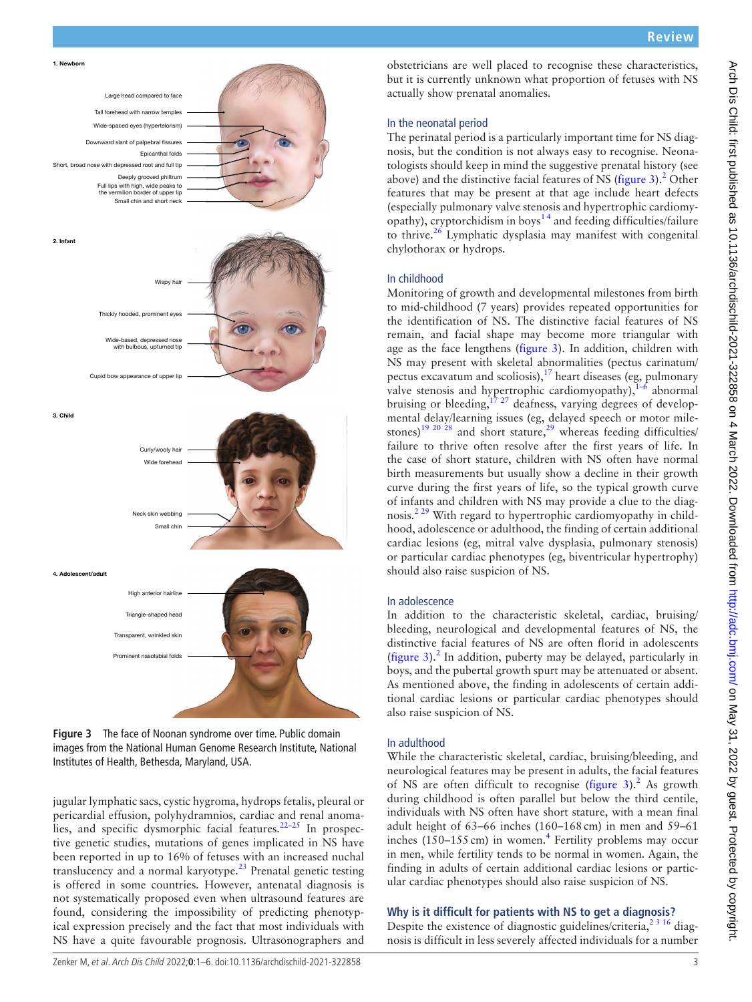

<span id="page-2-0"></span>**Figure 3** The face of Noonan syndrome over time. Public domain images from the National Human Genome Research Institute, National Institutes of Health, Bethesda, Maryland, USA.

jugular lymphatic sacs, cystic hygroma, hydrops fetalis, pleural or pericardial effusion, polyhydramnios, cardiac and renal anomalies, and specific dysmorphic facial features.<sup>22-25</sup> In prospective genetic studies, mutations of genes implicated in NS have been reported in up to 16% of fetuses with an increased nuchal translucency and a normal karyotype. $^{23}$  Prenatal genetic testing is offered in some countries. However, antenatal diagnosis is not systematically proposed even when ultrasound features are found, considering the impossibility of predicting phenotypical expression precisely and the fact that most individuals with NS have a quite favourable prognosis. Ultrasonographers and

obstetricians are well placed to recognise these characteristics, but it is currently unknown what proportion of fetuses with NS actually show prenatal anomalies.

#### In the neonatal period

The perinatal period is a particularly important time for NS diagnosis, but the condition is not always easy to recognise. Neonatologists should keep in mind the suggestive prenatal history (see above) and the distinctive facial features of NS [\(figure](#page-2-0)  $3$ ).<sup>[2](#page-4-11)</sup> Other features that may be present at that age include heart defects (especially pulmonary valve stenosis and hypertrophic cardiomyopathy), cryptorchidism in boys<sup>14</sup> and feeding difficulties/failure to thrive.<sup>[26](#page-5-1)</sup> Lymphatic dysplasia may manifest with congenital chylothorax or hydrops.

#### In childhood

Monitoring of growth and developmental milestones from birth to mid-childhood (7 years) provides repeated opportunities for the identification of NS. The distinctive facial features of NS remain, and facial shape may become more triangular with age as the face lengthens [\(figure](#page-2-0) 3). In addition, children with NS may present with skeletal abnormalities (pectus carinatum/ pectus excavatum and scoliosis), $17$  heart diseases (eg, pulmonary valve stenosis and hypertrophic cardiomyopathy), $1-6$  abnormal bruising or bleeding,  $1^{7}$   $2^{7}$  deafness, varying degrees of developmental delay/learning issues (eg, delayed speech or motor mile-stones)<sup>19 20 28</sup> and short stature,<sup>[29](#page-5-2)</sup> whereas feeding difficulties/ failure to thrive often resolve after the first years of life. In the case of short stature, children with NS often have normal birth measurements but usually show a decline in their growth curve during the first years of life, so the typical growth curve of infants and children with NS may provide a clue to the diagnosis.<sup>2 29</sup> With regard to hypertrophic cardiomyopathy in childhood, adolescence or adulthood, the finding of certain additional cardiac lesions (eg, mitral valve dysplasia, pulmonary stenosis) or particular cardiac phenotypes (eg, biventricular hypertrophy) should also raise suspicion of NS.

#### In adolescence

In addition to the characteristic skeletal, cardiac, bruising/ bleeding, neurological and developmental features of NS, the distinctive facial features of NS are often florid in adolescents ([figure](#page-2-0)  $3$ ).<sup>[2](#page-4-11)</sup> In addition, puberty may be delayed, particularly in boys, and the pubertal growth spurt may be attenuated or absent. As mentioned above, the finding in adolescents of certain additional cardiac lesions or particular cardiac phenotypes should also raise suspicion of NS.

#### In adulthood

While the characteristic skeletal, cardiac, bruising/bleeding, and neurological features may be present in adults, the facial features of NS are often difficult to recognise ([figure](#page-2-0)  $3$ ).<sup>[2](#page-4-11)</sup> As growth during childhood is often parallel but below the third centile, individuals with NS often have short stature, with a mean final adult height of 63–66 inches (160–168cm) in men and 59–61 inches  $(150-155 \text{ cm})$  in women.<sup>[4](#page-4-8)</sup> Fertility problems may occur in men, while fertility tends to be normal in women. Again, the finding in adults of certain additional cardiac lesions or particular cardiac phenotypes should also raise suspicion of NS.

## **Why is it difficult for patients with NS to get a diagnosis?**

Despite the existence of diagnostic guidelines/criteria,  $2^{3}$  16 diagnosis is difficult in less severely affected individuals for a number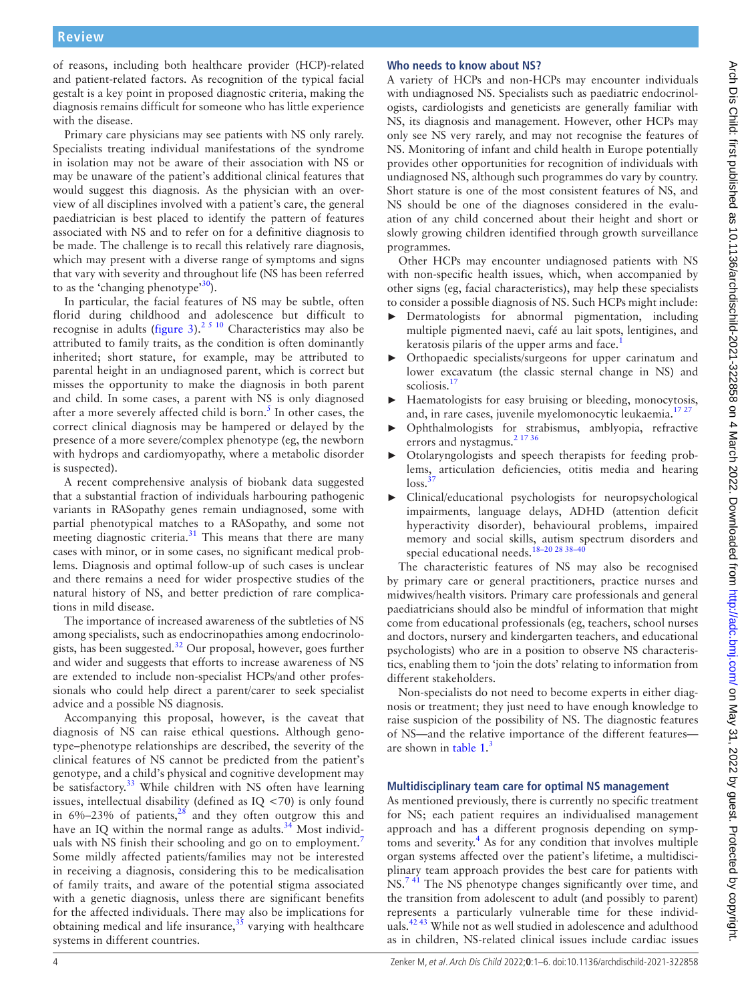of reasons, including both healthcare provider (HCP)-related and patient-related factors. As recognition of the typical facial gestalt is a key point in proposed diagnostic criteria, making the diagnosis remains difficult for someone who has little experience with the disease.

Primary care physicians may see patients with NS only rarely. Specialists treating individual manifestations of the syndrome in isolation may not be aware of their association with NS or may be unaware of the patient's additional clinical features that would suggest this diagnosis. As the physician with an overview of all disciplines involved with a patient's care, the general paediatrician is best placed to identify the pattern of features associated with NS and to refer on for a definitive diagnosis to be made. The challenge is to recall this relatively rare diagnosis, which may present with a diverse range of symptoms and signs that vary with severity and throughout life (NS has been referred to as the 'changing phenotype'<sup>30</sup>).

In particular, the facial features of NS may be subtle, often florid during childhood and adolescence but difficult to recognise in adults ([figure](#page-2-0) 3).<sup>[2 5 10](#page-4-11)</sup> Characteristics may also be attributed to family traits, as the condition is often dominantly inherited; short stature, for example, may be attributed to parental height in an undiagnosed parent, which is correct but misses the opportunity to make the diagnosis in both parent and child. In some cases, a parent with NS is only diagnosed after a more severely affected child is born.<sup>[5](#page-4-18)</sup> In other cases, the correct clinical diagnosis may be hampered or delayed by the presence of a more severe/complex phenotype (eg, the newborn with hydrops and cardiomyopathy, where a metabolic disorder is suspected).

A recent comprehensive analysis of biobank data suggested that a substantial fraction of individuals harbouring pathogenic variants in RASopathy genes remain undiagnosed, some with partial phenotypical matches to a RASopathy, and some not meeting diagnostic criteria. $31$  This means that there are many cases with minor, or in some cases, no significant medical problems. Diagnosis and optimal follow-up of such cases is unclear and there remains a need for wider prospective studies of the natural history of NS, and better prediction of rare complications in mild disease.

The importance of increased awareness of the subtleties of NS among specialists, such as endocrinopathies among endocrinologists, has been suggested.[32](#page-5-5) Our proposal, however, goes further and wider and suggests that efforts to increase awareness of NS are extended to include non-specialist HCPs/and other professionals who could help direct a parent/carer to seek specialist advice and a possible NS diagnosis.

Accompanying this proposal, however, is the caveat that diagnosis of NS can raise ethical questions. Although genotype–phenotype relationships are described, the severity of the clinical features of NS cannot be predicted from the patient's genotype, and a child's physical and cognitive development may be satisfactory. $33$  While children with NS often have learning issues, intellectual disability (defined as IQ <70) is only found in  $6\%$ -23% of patients,<sup>28</sup> and they often outgrow this and have an IQ within the normal range as adults. $34$  Most individ-uals with NS finish their schooling and go on to employment.<sup>[7](#page-4-3)</sup> Some mildly affected patients/families may not be interested in receiving a diagnosis, considering this to be medicalisation of family traits, and aware of the potential stigma associated with a genetic diagnosis, unless there are significant benefits for the affected individuals. There may also be implications for obtaining medical and life insurance, $35$  varying with healthcare systems in different countries.

## **Who needs to know about NS?**

A variety of HCPs and non-HCPs may encounter individuals with undiagnosed NS. Specialists such as paediatric endocrinologists, cardiologists and geneticists are generally familiar with NS, its diagnosis and management. However, other HCPs may only see NS very rarely, and may not recognise the features of NS. Monitoring of infant and child health in Europe potentially provides other opportunities for recognition of individuals with undiagnosed NS, although such programmes do vary by country. Short stature is one of the most consistent features of NS, and NS should be one of the diagnoses considered in the evaluation of any child concerned about their height and short or slowly growing children identified through growth surveillance programmes.

Other HCPs may encounter undiagnosed patients with NS with non-specific health issues, which, when accompanied by other signs (eg, facial characteristics), may help these specialists to consider a possible diagnosis of NS. Such HCPs might include:

- ► Dermatologists for abnormal pigmentation, including multiple pigmented naevi, café au lait spots, lentigines, and keratosis pilaris of the upper arms and face.<sup>1</sup>
- Orthopaedic specialists/surgeons for upper carinatum and lower excavatum (the classic sternal change in NS) and scoliosis.<sup>17</sup>
- Haematologists for easy bruising or bleeding, monocytosis, and, in rare cases, juvenile myelomonocytic leukaemia.<sup>1727</sup>
- ► Ophthalmologists for strabismus, amblyopia, refractive errors and nystagmus.<sup>[2 17 36](#page-4-11)</sup>
- ► Otolaryngologists and speech therapists for feeding problems, articulation deficiencies, otitis media and hearing  $loss.<sup>3</sup>$
- ► Clinical/educational psychologists for neuropsychological impairments, language delays, ADHD (attention deficit hyperactivity disorder), behavioural problems, impaired memory and social skills, autism spectrum disorders and special educational needs.<sup>18-20 28</sup> <sup>38-40</sup>

The characteristic features of NS may also be recognised by primary care or general practitioners, practice nurses and midwives/health visitors. Primary care professionals and general paediatricians should also be mindful of information that might come from educational professionals (eg, teachers, school nurses and doctors, nursery and kindergarten teachers, and educational psychologists) who are in a position to observe NS characteristics, enabling them to 'join the dots' relating to information from different stakeholders.

Non-specialists do not need to become experts in either diagnosis or treatment; they just need to have enough knowledge to raise suspicion of the possibility of NS. The diagnostic features of NS—and the relative importance of the different features are shown in [table](#page-4-19) 1.<sup>[3](#page-4-14)</sup>

### **Multidisciplinary team care for optimal NS management**

As mentioned previously, there is currently no specific treatment for NS; each patient requires an individualised management approach and has a different prognosis depending on symp-toms and severity.<sup>[4](#page-4-8)</sup> As for any condition that involves multiple organ systems affected over the patient's lifetime, a multidisciplinary team approach provides the best care for patients with NS.<sup>741</sup> The NS phenotype changes significantly over time, and the transition from adolescent to adult (and possibly to parent) represents a particularly vulnerable time for these individuals.<sup>42 43</sup> While not as well studied in adolescence and adulthood as in children, NS-related clinical issues include cardiac issues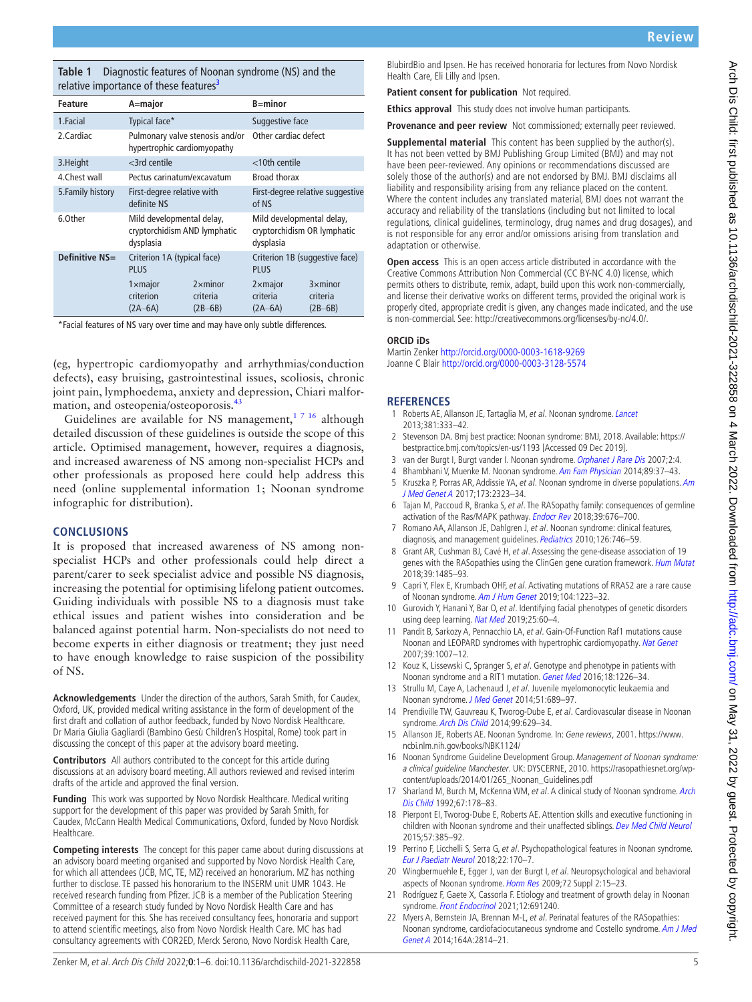<span id="page-4-19"></span>**Table 1** Diagnostic features of Noonan syndrome (NS) and the relative importance of these features<sup>3</sup>

| <b>Feature</b>    | A=major                                                                |                                           | $B = minor$                                                           |                                           |
|-------------------|------------------------------------------------------------------------|-------------------------------------------|-----------------------------------------------------------------------|-------------------------------------------|
| 1.Facial          | Typical face*                                                          |                                           | Suggestive face                                                       |                                           |
| 2.Cardiac         | Pulmonary valve stenosis and/or<br>hypertrophic cardiomyopathy         |                                           | Other cardiac defect                                                  |                                           |
| 3. Height         | $<$ 3rd centile                                                        |                                           | <10th centile                                                         |                                           |
| 4. Chest wall     | Pectus carinatum/excavatum                                             |                                           | <b>Broad thorax</b>                                                   |                                           |
| 5. Family history | First-degree relative with<br>definite NS                              |                                           | First-degree relative suggestive<br>of NS                             |                                           |
| 6.0ther           | Mild developmental delay,<br>cryptorchidism AND lymphatic<br>dysplasia |                                           | Mild developmental delay,<br>cryptorchidism OR lymphatic<br>dysplasia |                                           |
| Definitive NS=    | Criterion 1A (typical face)<br><b>PLUS</b>                             |                                           | Criterion 1B (suggestive face)<br><b>PLUS</b>                         |                                           |
|                   | $1 \times$ major<br>criterion<br>$(2A-6A)$                             | $2 \times$ minor<br>criteria<br>$(2B-6B)$ | $2 \times$ major<br>criteria<br>$(2A-6A)$                             | $3 \times$ minor<br>criteria<br>$(2B-6B)$ |

\*Facial features of NS vary over time and may have only subtle differences.

(eg, hypertropic cardiomyopathy and arrhythmias/conduction defects), easy bruising, gastrointestinal issues, scoliosis, chronic joint pain, lymphoedema, anxiety and depression, Chiari malfor-mation, and osteopenia/osteoporosis.<sup>[43](#page-5-12)</sup>

Guidelines are available for NS management,<sup>1716</sup> although detailed discussion of these guidelines is outside the scope of this article. Optimised management, however, requires a diagnosis, and increased awareness of NS among non-specialist HCPs and other professionals as proposed here could help address this need ([online supplemental information 1](https://dx.doi.org/10.1136/archdischild-2021-322858); Noonan syndrome infographic for distribution).

#### **CONCLUSIONS**

It is proposed that increased awareness of NS among nonspecialist HCPs and other professionals could help direct a parent/carer to seek specialist advice and possible NS diagnosis, increasing the potential for optimising lifelong patient outcomes. Guiding individuals with possible NS to a diagnosis must take ethical issues and patient wishes into consideration and be balanced against potential harm. Non-specialists do not need to become experts in either diagnosis or treatment; they just need to have enough knowledge to raise suspicion of the possibility of NS.

**Acknowledgements** Under the direction of the authors, Sarah Smith, for Caudex, Oxford, UK, provided medical writing assistance in the form of development of the first draft and collation of author feedback, funded by Novo Nordisk Healthcare. Dr Maria Giulia Gagliardi (Bambino Gesù Children's Hospital, Rome) took part in discussing the concept of this paper at the advisory board meeting.

**Contributors** All authors contributed to the concept for this article during discussions at an advisory board meeting. All authors reviewed and revised interim drafts of the article and approved the final version.

**Funding** This work was supported by Novo Nordisk Healthcare. Medical writing support for the development of this paper was provided by Sarah Smith, for Caudex, McCann Health Medical Communications, Oxford, funded by Novo Nordisk Healthcare.

**Competing interests** The concept for this paper came about during discussions at an advisory board meeting organised and supported by Novo Nordisk Health Care, for which all attendees (JCB, MC, TE, MZ) received an honorarium. MZ has nothing further to disclose. TE passed his honorarium to the INSERM unit UMR 1043. He received research funding from Pfizer. JCB is a member of the Publication Steering Committee of a research study funded by Novo Nordisk Health Care and has received payment for this. She has received consultancy fees, honoraria and support to attend scientific meetings, also from Novo Nordisk Health Care. MC has had consultancy agreements with COR2ED, Merck Serono, Novo Nordisk Health Care,

BlubirdBio and Ipsen. He has received honoraria for lectures from Novo Nordisk Health Care, Eli Lilly and Ipsen.

**Patient consent for publication** Not required.

**Ethics approval** This study does not involve human participants.

**Provenance and peer review** Not commissioned; externally peer reviewed.

**Supplemental material** This content has been supplied by the author(s). It has not been vetted by BMJ Publishing Group Limited (BMJ) and may not have been peer-reviewed. Any opinions or recommendations discussed are solely those of the author(s) and are not endorsed by BMJ. BMJ disclaims all liability and responsibility arising from any reliance placed on the content. Where the content includes any translated material, BMJ does not warrant the accuracy and reliability of the translations (including but not limited to local regulations, clinical guidelines, terminology, drug names and drug dosages), and is not responsible for any error and/or omissions arising from translation and adaptation or otherwise.

**Open access** This is an open access article distributed in accordance with the Creative Commons Attribution Non Commercial (CC BY-NC 4.0) license, which permits others to distribute, remix, adapt, build upon this work non-commercially, and license their derivative works on different terms, provided the original work is properly cited, appropriate credit is given, any changes made indicated, and the use is non-commercial. See: [http://creativecommons.org/licenses/by-nc/4.0/.](http://creativecommons.org/licenses/by-nc/4.0/)

#### **ORCID iDs**

Martin Zenker<http://orcid.org/0000-0003-1618-9269> Joanne C Blair<http://orcid.org/0000-0003-3128-5574>

#### **REFERENCES**

- <span id="page-4-0"></span>1 Roberts AE, Allanson JE, Tartaglia M, et al. Noonan syndrome. [Lancet](http://dx.doi.org/10.1016/S0140-6736(12)61023-X) 2013;381:333–42.
- <span id="page-4-11"></span>2 Stevenson DA. Bmj best practice: Noonan syndrome: BMJ, 2018. Available: [https://](https://bestpractice.bmj.com/topics/en-us/1193) [bestpractice.bmj.com/topics/en-us/1193](https://bestpractice.bmj.com/topics/en-us/1193) [Accessed 09 Dec 2019].
- <span id="page-4-14"></span>3 van der Burgt I, Burgt vander I. Noonan syndrome. [Orphanet J Rare Dis](http://dx.doi.org/10.1186/1750-1172-2-4) 2007;2:4.
- <span id="page-4-8"></span>4 Bhambhani V, Muenke M. Noonan syndrome. [Am Fam Physician](http://www.ncbi.nlm.nih.gov/pubmed/24444506) 2014;89:37-43.
- <span id="page-4-18"></span>5 Kruszka P, Porras AR, Addissie YA, et al. Noonan syndrome in diverse populations. [Am](http://dx.doi.org/10.1002/ajmg.a.38362)  [J Med Genet A](http://dx.doi.org/10.1002/ajmg.a.38362) 2017;173:2323–34.
- <span id="page-4-1"></span>6 Tajan M, Paccoud R, Branka S, et al. The RASopathy family: consequences of germline activation of the Ras/MAPK pathway. [Endocr Rev](http://dx.doi.org/10.1210/er.2017-00232) 2018;39:676–700.
- <span id="page-4-3"></span>Romano AA, Allanson JE, Dahlgren J, et al. Noonan syndrome: clinical features, diagnosis, and management guidelines. [Pediatrics](http://dx.doi.org/10.1542/peds.2009-3207) 2010;126:746-59.
- 8 Grant AR, Cushman BJ, Cavé H, et al. Assessing the gene-disease association of 19 genes with the RASopathies using the ClinGen gene curation framework. [Hum Mutat](http://dx.doi.org/10.1002/humu.23624) 2018;39:1485–93.
- <span id="page-4-2"></span>9 Capri Y, Flex E, Krumbach OHF, et al. Activating mutations of RRAS2 are a rare cause of Noonan syndrome. [Am J Hum Genet](http://dx.doi.org/10.1016/j.ajhg.2019.04.013) 2019;104:1223-32.
- 10 Gurovich Y, Hanani Y, Bar O, et al. Identifying facial phenotypes of genetic disorders using deep learning. [Nat Med](http://dx.doi.org/10.1038/s41591-018-0279-0) 2019;25:60-4.
- <span id="page-4-4"></span>11 Pandit B, Sarkozy A, Pennacchio LA, et al. Gain-Of-Function Raf1 mutations cause Noonan and LEOPARD syndromes with hypertrophic cardiomyopathy. [Nat Genet](http://dx.doi.org/10.1038/ng2073) 2007;39:1007–12.
- 12 Kouz K, Lissewski C, Spranger S, et al. Genotype and phenotype in patients with Noonan syndrome and a RIT1 mutation. [Genet Med](http://dx.doi.org/10.1038/gim.2016.32) 2016;18:1226–34.
- <span id="page-4-5"></span>13 Strullu M, Caye A, Lachenaud J, et al. Juvenile myelomonocytic leukaemia and Noonan syndrome. [J Med Genet](http://dx.doi.org/10.1136/jmedgenet-2014-102611) 2014;51:689–97.
- <span id="page-4-6"></span>14 Prendiville TW, Gauvreau K, Tworog-Dube E, et al. Cardiovascular disease in Noonan syndrome. [Arch Dis Child](http://dx.doi.org/10.1136/archdischild-2013-305047) 2014;99:629–34.
- <span id="page-4-7"></span>15 Allanson JE, Roberts AE. Noonan Syndrome. In: Gene reviews, 2001. [https://www.](https://www.ncbi.nlm.nih.gov/books/NBK1124/) [ncbi.nlm.nih.gov/books/NBK1124/](https://www.ncbi.nlm.nih.gov/books/NBK1124/)
- <span id="page-4-9"></span>16 Noonan Syndrome Guideline Development Group. Management of Noonan syndrome: a clinical guideline Manchester. UK: DYSCERNE, 2010. [https://rasopathiesnet.org/wp](https://rasopathiesnet.org/wp-content/uploads/2014/01/265_Noonan_Guidelines.pdf)[content/uploads/2014/01/265\\_Noonan\\_Guidelines.pdf](https://rasopathiesnet.org/wp-content/uploads/2014/01/265_Noonan_Guidelines.pdf)
- <span id="page-4-16"></span>17 Sharland M, Burch M, McKenna WM, et al. A clinical study of Noonan syndrome. Arch [Dis Child](http://dx.doi.org/10.1136/adc.67.2.178) 1992;67:178–83.
- <span id="page-4-10"></span>18 Pierpont EI, Tworog-Dube E, Roberts AE. Attention skills and executive functioning in children with Noonan syndrome and their unaffected siblings. [Dev Med Child Neurol](http://dx.doi.org/10.1111/dmcn.12621) 2015;57:385–92.
- <span id="page-4-17"></span>19 Perrino F, Licchelli S, Serra G, et al. Psychopathological features in Noonan syndrome. [Eur J Paediatr Neurol](http://dx.doi.org/10.1016/j.ejpn.2017.09.009) 2018;22:170–7.
- <span id="page-4-12"></span>20 Wingbermuehle E, Egger J, van der Burgt I, et al. Neuropsychological and behavioral aspects of Noonan syndrome. [Horm Res](http://dx.doi.org/10.1159/000243774) 2009;72 Suppl 2:15-23.
- <span id="page-4-13"></span>21 Rodríguez F, Gaete X, Cassorla F. Etiology and treatment of growth delay in Noonan syndrome. [Front Endocrinol](http://dx.doi.org/10.3389/fendo.2021.691240) 2021;12:691240.
- <span id="page-4-15"></span>22 Myers A, Bernstein JA, Brennan M-L, et al. Perinatal features of the RASopathies: Noonan syndrome, cardiofaciocutaneous syndrome and Costello syndrome. [Am J Med](http://dx.doi.org/10.1002/ajmg.a.36737)  [Genet A](http://dx.doi.org/10.1002/ajmg.a.36737) 2014;164A:2814–21.